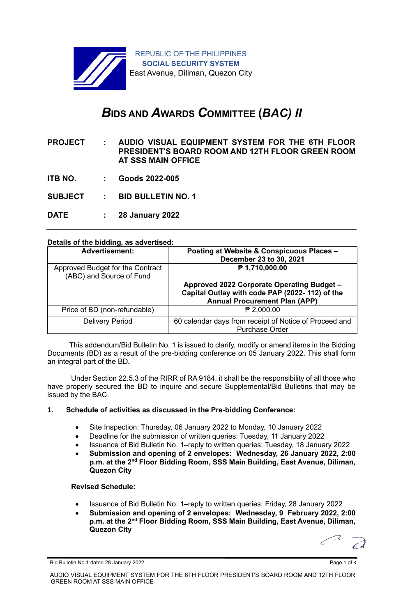

# *B***IDS AND** *A***WARDS** *C***OMMITTEE (***BAC) II*

**PROJECT : AUDIO VISUAL EQUIPMENT SYSTEM FOR THE 6TH FLOOR PRESIDENT'S BOARD ROOM AND 12TH FLOOR GREEN ROOM AT SSS MAIN OFFICE**

- **ITB NO. : Goods 2022-005**
- **SUBJECT : BID BULLETIN NO. 1**
- **DATE : 28 January 2022**

|  |  |  | Details of the bidding, as advertised: |  |
|--|--|--|----------------------------------------|--|
|  |  |  |                                        |  |

| <b>Advertisement:</b>                                        | Posting at Website & Conspicuous Places -<br>December 23 to 30, 2021                                                                 |  |  |  |
|--------------------------------------------------------------|--------------------------------------------------------------------------------------------------------------------------------------|--|--|--|
| Approved Budget for the Contract<br>(ABC) and Source of Fund | ₱ 1,710,000.00                                                                                                                       |  |  |  |
|                                                              | Approved 2022 Corporate Operating Budget -<br>Capital Outlay with code PAP (2022-112) of the<br><b>Annual Procurement Plan (APP)</b> |  |  |  |
| Price of BD (non-refundable)                                 | ₱ 2,000.00                                                                                                                           |  |  |  |
| <b>Delivery Period</b>                                       | 60 calendar days from receipt of Notice of Proceed and<br><b>Purchase Order</b>                                                      |  |  |  |

 This addendum/Bid Bulletin No. 1 is issued to clarify, modify or amend items in the Bidding Documents (BD) as a result of the pre-bidding conference on 05 January 2022. This shall form an integral part of the BD**.**

Under Section 22.5.3 of the RIRR of RA 9184, it shall be the responsibility of all those who have properly secured the BD to inquire and secure Supplemental/Bid Bulletins that may be issued by the BAC.

### **1. Schedule of activities as discussed in the Pre-bidding Conference:**

- Site Inspection: Thursday, 06 January 2022 to Monday, 10 January 2022
- Deadline for the submission of written queries: Tuesday, 11 January 2022
- Issuance of Bid Bulletin No. 1–reply to written queries: Tuesday, 18 January 2022
- **Submission and opening of 2 envelopes: Wednesday, 26 January 2022, 2:00 p.m. at the 2nd Floor Bidding Room, SSS Main Building, East Avenue, Diliman, Quezon City**

### **Revised Schedule:**

- Issuance of Bid Bulletin No. 1–reply to written queries: Friday, 28 January 2022
- **Submission and opening of 2 envelopes: Wednesday, 9 February 2022, 2:00 p.m. at the 2nd Floor Bidding Room, SSS Main Building, East Avenue, Diliman, Quezon City**

 $\epsilon$ 

Bid Bulletin No.1 dated 28 January 2022 **Page 1 of 3** and 2011 12:00 and 2012 Page 1 of 3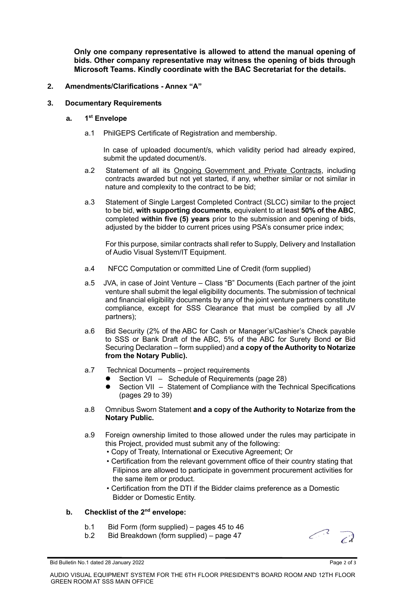**Only one company representative is allowed to attend the manual opening of bids. Other company representative may witness the opening of bids through Microsoft Teams. Kindly coordinate with the BAC Secretariat for the details.**

## **2. Amendments/Clarifications - Annex "A"**

### **3. Documentary Requirements**

#### **a. 1 st Envelope**

a.1 PhilGEPS Certificate of Registration and membership.

In case of uploaded document/s, which validity period had already expired, submit the updated document/s.

- a.2 Statement of all its Ongoing Government and Private Contracts, including contracts awarded but not yet started, if any, whether similar or not similar in nature and complexity to the contract to be bid;
- a.3 Statement of Single Largest Completed Contract (SLCC) similar to the project to be bid, **with supporting documents**, equivalent to at least **50% of the ABC**, completed **within five (5) years** prior to the submission and opening of bids, adjusted by the bidder to current prices using PSA's consumer price index;

For this purpose, similar contracts shall refer to Supply, Delivery and Installation of Audio Visual System/IT Equipment.

- a.4 NFCC Computation or committed Line of Credit (form supplied)
- a.5 JVA, in case of Joint Venture Class "B" Documents (Each partner of the joint venture shall submit the legal eligibility documents. The submission of technical and financial eligibility documents by any of the joint venture partners constitute compliance, except for SSS Clearance that must be complied by all JV partners);
- a.6 Bid Security (2% of the ABC for Cash or Manager's/Cashier's Check payable to SSS or Bank Draft of the ABC, 5% of the ABC for Surety Bond **or** Bid Securing Declaration – form supplied) and **a copy of the Authority to Notarize from the Notary Public).**
- a.7 Technical Documents project requirements
	- Section VI Schedule of Requirements (page 28)
	- Section VII Statement of Compliance with the Technical Specifications (pages 29 to 39)
- a.8 Omnibus Sworn Statement **and a copy of the Authority to Notarize from the Notary Public.**
- a.9 Foreign ownership limited to those allowed under the rules may participate in this Project, provided must submit any of the following:
	- Copy of Treaty, International or Executive Agreement; Or
	- Certification from the relevant government office of their country stating that Filipinos are allowed to participate in government procurement activities for the same item or product.
	- Certification from the DTI if the Bidder claims preference as a Domestic Bidder or Domestic Entity.

### **b. Checklist of the 2nd envelope:**

- b.1 Bid Form (form supplied) pages 45 to 46
- b.2 Bid Breakdown (form supplied) page 47



Bid Bulletin No.1 dated 28 January 2022 **Page 2 of 3** and 2011 12:00 and 2012 Page 2 of 3